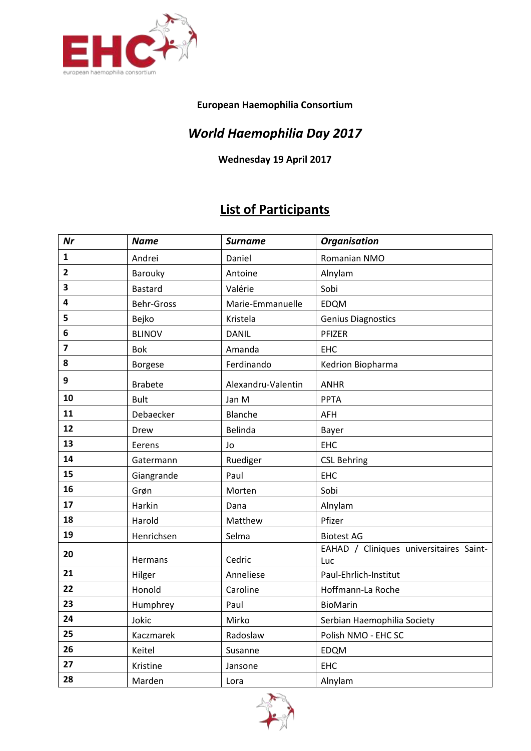

## **European Haemophilia Consortium**

## *World Haemophilia Day 2017*

**Wednesday 19 April 2017**

## **List of Participants**

| Nr                      | <b>Name</b>    | <b>Surname</b>     | <b>Organisation</b>                            |
|-------------------------|----------------|--------------------|------------------------------------------------|
| $\mathbf{1}$            | Andrei         | Daniel             | Romanian NMO                                   |
| $\overline{2}$          | Barouky        | Antoine            | Alnylam                                        |
| 3                       | <b>Bastard</b> | Valérie            | Sobi                                           |
| 4                       | Behr-Gross     | Marie-Emmanuelle   | EDQM                                           |
| 5                       | Bejko          | Kristela           | <b>Genius Diagnostics</b>                      |
| 6                       | <b>BLINOV</b>  | <b>DANIL</b>       | PFIZER                                         |
| $\overline{\mathbf{z}}$ | Bok            | Amanda             | <b>EHC</b>                                     |
| 8                       | <b>Borgese</b> | Ferdinando         | Kedrion Biopharma                              |
| 9                       | <b>Brabete</b> | Alexandru-Valentin | <b>ANHR</b>                                    |
| 10                      | <b>Bult</b>    | Jan M              | <b>PPTA</b>                                    |
| 11                      | Debaecker      | Blanche            | AFH                                            |
| 12                      | Drew           | Belinda            | Bayer                                          |
| 13                      | Eerens         | Jo                 | EHC                                            |
| 14                      | Gatermann      | Ruediger           | <b>CSL Behring</b>                             |
| 15                      | Giangrande     | Paul               | <b>EHC</b>                                     |
| 16                      | Grøn           | Morten             | Sobi                                           |
| 17                      | Harkin         | Dana               | Alnylam                                        |
| 18                      | Harold         | Matthew            | Pfizer                                         |
| 19                      | Henrichsen     | Selma              | <b>Biotest AG</b>                              |
| 20                      | Hermans        | Cedric             | EAHAD / Cliniques universitaires Saint-<br>Luc |
| 21                      | Hilger         | Anneliese          | Paul-Ehrlich-Institut                          |
| 22                      | Honold         | Caroline           | Hoffmann-La Roche                              |
| 23                      | Humphrey       | Paul               | BioMarin                                       |
| 24                      | Jokic          | Mirko              | Serbian Haemophilia Society                    |
| 25                      | Kaczmarek      | Radoslaw           | Polish NMO - EHC SC                            |
| 26                      | Keitel         | Susanne            | EDQM                                           |
| 27                      | Kristine       | Jansone            | EHC                                            |
| 28                      | Marden         | Lora               | Alnylam                                        |